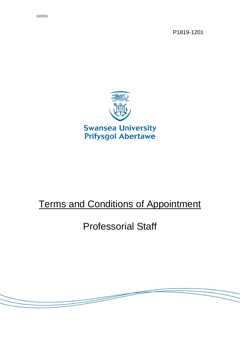P1819-1201



# Terms and Conditions of Appointment

# Professorial Staff

<u> S</u>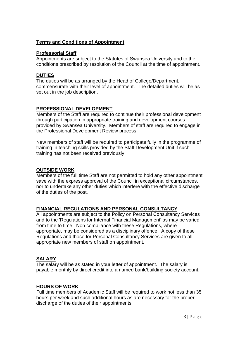#### **Terms and Conditions of Appointment**

#### **Professorial Staff**

Appointments are subject to the Statutes of Swansea University and to the conditions prescribed by resolution of the Council at the time of appointment.

## **DUTIES**

The duties will be as arranged by the Head of College/Department, commensurate with their level of appointment. The detailed duties will be as set out in the job description.

# **PROFESSIONAL DEVELOPMENT**

Members of the Staff are required to continue their professional development through participation in appropriate training and development courses provided by Swansea University. Members of staff are required to engage in the Professional Development Review process.

New members of staff will be required to participate fully in the programme of training in teaching skills provided by the Staff Development Unit if such training has not been received previously.

## **OUTSIDE WORK**

Members of the full time Staff are not permitted to hold any other appointment save with the express approval of the Council in exceptional circumstances, nor to undertake any other duties which interfere with the effective discharge of the duties of the post.

# **FINANCIAL REGULATIONS AND PERSONAL CONSULTANCY**

All appointments are subject to the Policy on Personal Consultancy Services and to the 'Regulations for Internal Financial Management' as may be varied from time to time. Non compliance with these Regulations, where appropriate, may be considered as a disciplinary offence. A copy of these Regulations and those for Personal Consultancy Services are given to all appropriate new members of staff on appointment.

#### **SALARY**

The salary will be as stated in your letter of appointment. The salary is payable monthly by direct credit into a named bank/building society account.

# **HOURS OF WORK**

Full time members of Academic Staff will be required to work not less than 35 hours per week and such additional hours as are necessary for the proper discharge of the duties of their appointments.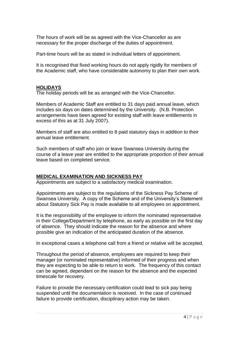The hours of work will be as agreed with the Vice-Chancellor as are necessary for the proper discharge of the duties of appointment.

Part-time hours will be as stated in individual letters of appointment.

It is recognised that fixed working hours do not apply rigidly for members of the Academic staff, who have considerable autonomy to plan their own work.

#### **HOLIDAYS**

The holiday periods will be as arranged with the Vice-Chancellor.

Members of Academic Staff are entitled to 31 days paid annual leave, which includes six days on dates determined by the University. (N.B. Protection arrangements have been agreed for existing staff with leave entitlements in excess of this as at 31 July 2007).

Members of staff are also entitled to 8 paid statutory days in addition to their annual leave entitlement.

Such members of staff who join or leave Swansea University during the course of a leave year are entitled to the appropriate proportion of their annual leave based on completed service.

#### **MEDICAL EXAMINATION AND SICKNESS PAY**

Appointments are subject to a satisfactory medical examination.

Appointments are subject to the regulations of the Sickness Pay Scheme of Swansea University. A copy of the Scheme and of the University's Statement about Statutory Sick Pay is made available to all employees on appointment.

It is the responsibility of the employee to inform the nominated representative in their College/Department by telephone, as early as possible on the first day of absence. They should indicate the reason for the absence and where possible give an indication of the anticipated duration of the absence.

In exceptional cases a telephone call from a friend or relative will be accepted.

Throughout the period of absence, employees are required to keep their manager (or nominated representative) informed of their progress and when they are expecting to be able to return to work. The frequency of this contact can be agreed, dependant on the reason for the absence and the expected timescale for recovery.

Failure to provide the necessary certification could lead to sick pay being suspended until the documentation is received. In the case of continued failure to provide certification, disciplinary action may be taken.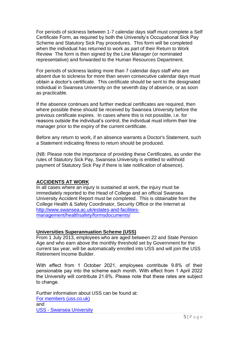For periods of sickness between 1-7 calendar days staff must complete a Self Certificate Form, as required by both the University's Occupational Sick Pay Scheme and Statutory Sick Pay procedures. This form will be completed when the individual has returned to work as part of their Return to Work Review The form is then signed by the Line Manager (or nominated representative) and forwarded to the Human Resources Department.

For periods of sickness lasting more than 7 calendar days staff who are absent due to sickness for more than seven consecutive calendar days must obtain a doctor's certificate. This certificate should be sent to the designated individual in Swansea University on the seventh day of absence, or as soon as practicable.

If the absence continues and further medical certificates are required, then where possible these should be received by Swansea University before the previous certificate expires. In cases where this is not possible, i.e. for reasons outside the individual's control, the individual must inform their line manager prior to the expiry of the current certificate.

Before any return to work, if an absence warrants a Doctor's Statement, such a Statement indicating fitness to return should be produced.

(NB: Please note the importance of providing these Certificates, as under the rules of Statutory Sick Pay, Swansea University is entitled to withhold payment of Statutory Sick Pay if there is late notification of absence).

#### **ACCIDENTS AT WORK**

In all cases where an injury is sustained at work, the injury must be immediately reported to the Head of College and an official Swansea University Accident Report must be completed. This is obtainable from the College Health & Safety Coordinator, Security Office or the Internet at [http://www.swansea.ac.uk/estates-and-facilities](http://www.swansea.ac.uk/estates-and-facilities-management/healthsafety/formsdocuments/)[management/healthsafety/formsdocuments/](http://www.swansea.ac.uk/estates-and-facilities-management/healthsafety/formsdocuments/)

#### **Universities Superannuation Scheme (USS)**

From 1 July 2013, employees who are aged between 22 and State Pension Age and who earn above the monthly threshold set by Government for the current tax year, will be automatically enrolled into USS and will join the USS Retirement Income Builder.

With effect from 1 October 2021, employees contribute 9.8% of their pensionable pay into the scheme each month. With effect from 1 April 2022 the University will contribute 21.6%. Please note that these rates are subject to change.

[Further information about](https://www.uss.co.uk/for-members) USS can be found at: For members (uss.co.uk) [and](https://staff.swansea.ac.uk/professional-services/finance-swansea-university/pensions/pensions-uss/)  USS - Swansea University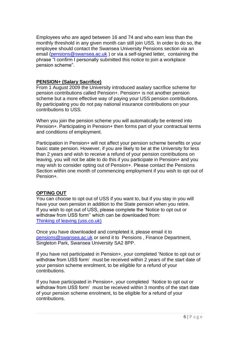Employees who are aged between 16 and 74 and who earn less than the monthly threshold in any given month can still join USS. In order to do so, the employee should contact the Swansea University Pensions section via an email [\(pensions@swansea.ac.uk](mailto:pensions@swansea.ac.uk) ) or via a self-signed letter, containing the phrase "I confirm I personally submitted this notice to join a workplace pension scheme".

#### **PENSION+ (Salary Sacrifice)**

From 1 August 2009 the University introduced asalary sacrifice scheme for pension contributions called Pension+. Pension+ is not another pension scheme but a more effective way of paying your USS pension contributions. By participating you do not pay national insurance contributions on your contributions to USS.

When you join the pension scheme you will automatically be entered into Pension+. Participating in Pension+ then forms part of your contractual terms and conditions of employment.

Participation in Pension+ will not affect your pension scheme benefits or your basic state pension. However, if you are likely to be at the University for less than 2 years and wish to receive a refund of your pension contributions on leaving, you will not be able to do this if you participate in Pension+ and you may wish to consider opting out of Pension+. Please contact the Pensions Section within one month of commencing employment if you wish to opt out of Pension+.

#### **OPTING OUT**

You can choose to opt out of USS if you want to, but if you stay in you will have your own pension in addition to the State pension when you retire. If you wish to opt out of USS, please complete the 'Notice to opt out or withdraw from USS form'' which can be downloaded from: [Thinking of leaving \(uss.co.uk\)](https://www.uss.co.uk/for-members/leaving-or-already-left/thinking-of-leaving)

Once you have downloaded and completed it, please email it to [pensions@swansea.ac.uk](mailto:pensions@swansea.ac.uk) or send it to Pensions , Finance Department, Singleton Park, Swansea University SA2 8PP.

If you have not participated in Pension+, your completed 'Notice to opt out or withdraw from USS form' must be received within 2 years of the start date of your pension scheme enrolment, to be eligible for a refund of your contributions.

If you have participated in Pension+, your completed 'Notice to opt out or withdraw from USS form' must be received within 3 months of the start date of your pension scheme enrolment, to be eligible for a refund of your contributions.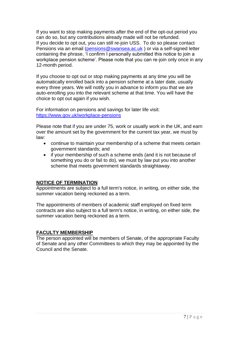If you want to stop making payments after the end of the opt-out period you can do so, but any contributions already made will not be refunded. If you decide to opt out, you can still re-join USS. To do so please contact Pensions via an email [\(pensions@swansea.ac.uk](mailto:pensions@swansea.ac.uk) ) or via a self-signed letter containing the phrase, 'I confirm I personally submitted this notice to join a workplace pension scheme'. Please note that you can re-join only once in any 12-month period.

If you choose to opt out or stop making payments at any time you will be automatically enrolled back into a pension scheme at a later date, usually every three years. We will notify you in advance to inform you that we are auto-enrolling you into the relevant scheme at that time. You will have the choice to opt out again if you wish.

For information on pensions and savings for later life visit: <https://www.gov.uk/workplace-pensions>

Please note that if you are under 75, work or usually work in the UK, and earn over the amount set by the government for the current tax year, we must by law:

- continue to maintain your membership of a scheme that meets certain government standards; and
- if your membership of such a scheme ends (and it is not because of something you do or fail to do), we must by law put you into another scheme that meets government standards straightaway.

#### **NOTICE OF TERMINATION**

Appointments are subject to a full term's notice, in writing, on either side, the summer vacation being reckoned as a term.

The appointments of members of academic staff employed on fixed term contracts are also subject to a full term's notice, in writing, on either side, the summer vacation being reckoned as a term.

#### **FACULTY MEMBERSHIP**

The person appointed will be members of Senate, of the appropriate Faculty of Senate and any other Committees to which they may be appointed by the Council and the Senate.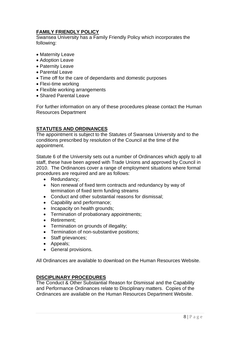# **FAMILY FRIENDLY POLICY**

Swansea University has a Family Friendly Policy which incorporates the following:

- Maternity Leave
- Adoption Leave
- Paternity Leave
- Parental Leave
- Time off for the care of dependants and domestic purposes
- Flexi-time working
- Flexible working arrangements
- Shared Parental Leave

For further information on any of these procedures please contact the Human Resources Department

# **STATUTES AND ORDINANCES**

The appointment is subject to the Statutes of Swansea University and to the conditions prescribed by resolution of the Council at the time of the appointment.

Statute 6 of the University sets out a number of Ordinances which apply to all staff, these have been agreed with Trade Unions and approved by Council in 2010. The Ordinances cover a range of employment situations where formal procedures are required and are as follows:

- Redundancy;
- Non renewal of fixed term contracts and redundancy by way of termination of fixed term funding streams
- Conduct and other substantial reasons for dismissal;
- Capability and performance;
- Incapacity on health grounds;
- Termination of probationary appointments;
- Retirement;
- Termination on grounds of illegality;
- Termination of non-substantive positions;
- Staff grievances:
- Appeals;
- General provisions.

All Ordinances are available to download on the Human Resources Website.

# **DISCIPLINARY PROCEDURES**

The Conduct & Other Substantial Reason for Dismissal and the Capability and Performance Ordinances relate to Disciplinary matters. Copies of the Ordinances are available on the Human Resources Department Website.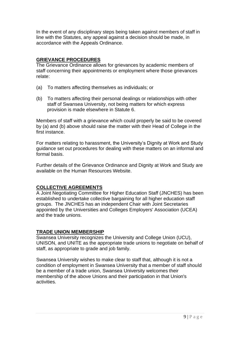In the event of any disciplinary steps being taken against members of staff in line with the Statutes, any appeal against a decision should be made, in accordance with the Appeals Ordinance.

## **GRIEVANCE PROCEDURES**

The Grievance Ordinance allows for grievances by academic members of staff concerning their appointments or employment where those grievances relate:

- (a) To matters affecting themselves as individuals; or
- (b) To matters affecting their personal dealings or relationships with other staff of Swansea University, not being matters for which express provision is made elsewhere in Statute 6.

Members of staff with a grievance which could properly be said to be covered by (a) and (b) above should raise the matter with their Head of College in the first instance.

For matters relating to harassment, the University's Dignity at Work and Study guidance set out procedures for dealing with these matters on an informal and formal basis.

Further details of the Grievance Ordinance and Dignity at Work and Study are available on the Human Resources Website.

# **COLLECTIVE AGREEMENTS**

A Joint Negotiating Committee for Higher Education Staff (JNCHES) has been established to undertake collective bargaining for all higher education staff groups. The JNCHES has an independent Chair with Joint Secretaries appointed by the Universities and Colleges Employers' Association (UCEA) and the trade unions.

#### **TRADE UNION MEMBERSHIP**

Swansea University recognizes the University and College Union (UCU), UNISON, and UNITE as the appropriate trade unions to negotiate on behalf of staff, as appropriate to grade and job family.

Swansea University wishes to make clear to staff that, although it is not a condition of employment in Swansea University that a member of staff should be a member of a trade union, Swansea University welcomes their membership of the above Unions and their participation in that Union's activities.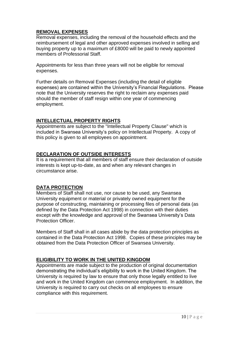# **REMOVAL EXPENSES**

Removal expenses, including the removal of the household effects and the reimbursement of legal and other approved expenses involved in selling and buying property up to a maximum of £8000 will be paid to newly appointed members of Professorial Staff.

Appointments for less than three years will not be eligible for removal expenses.

Further details on Removal Expenses (including the detail of eligible expenses) are contained within the University's Financial Regulations. Please note that the University reserves the right to reclaim any expenses paid should the member of staff resign within one year of commencing employment.

# **INTELLECTUAL PROPERTY RIGHTS**

Appointments are subject to the "Intellectual Property Clause" which is included in Swansea University's policy on Intellectual Property. A copy of this policy is given to all employees on appointment.

#### **DECLARATION OF OUTSIDE INTERESTS**

It is a requirement that all members of staff ensure their declaration of outside interests is kept up-to-date, as and when any relevant changes in circumstance arise.

# **DATA PROTECTION**

Members of Staff shall not use, nor cause to be used, any Swansea University equipment or material or privately owned equipment for the purpose of constructing, maintaining or processing files of personal data (as defined by the Data Protection Act 1998) in connection with their duties except with the knowledge and approval of the Swansea University's Data Protection Officer.

Members of Staff shall in all cases abide by the data protection principles as contained in the Data Protection Act 1998. Copies of these principles may be obtained from the Data Protection Officer of Swansea University.

# **ELIGIBILITY TO WORK IN THE UNITED KINGDOM**

Appointments are made subject to the production of original documentation demonstrating the individual's eligibility to work in the United Kingdom. The University is required by law to ensure that only those legally entitled to live and work in the United Kingdom can commence employment. In addition, the University is required to carry out checks on all employees to ensure compliance with this requirement.